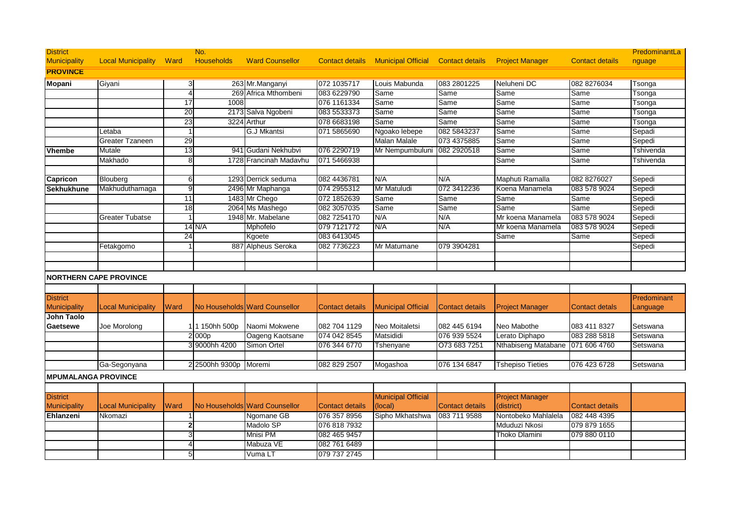| <b>District</b>            |                                |              | No.               |                               |                        |                                           |                        |                         |                        | PredominantLa |
|----------------------------|--------------------------------|--------------|-------------------|-------------------------------|------------------------|-------------------------------------------|------------------------|-------------------------|------------------------|---------------|
| <b>Municipality</b>        | <b>Local Municipality Ward</b> |              | <b>Households</b> | <b>Ward Counsellor</b>        |                        | <b>Contact details Municipal Official</b> | <b>Contact details</b> | <b>Project Manager</b>  | <b>Contact details</b> | nguage        |
| <b>PROVINCE</b>            |                                |              |                   |                               |                        |                                           |                        |                         |                        |               |
| <b>Mopani</b>              | Giyani                         | 3            |                   | 263 Mr.Manganyi               | 072 1035717            | Louis Mabunda                             | 083 2801225            | Neluheni DC             | 082 8276034            | Tsonga        |
|                            |                                |              | 269               | Africa Mthombeni              | 083 6229790            | Same                                      | Same                   | Same                    | Same                   | Tsonga        |
|                            |                                | 17           | 1008              |                               | 076 1161334            | Same                                      | Same                   | Same                    | Same                   | Tsonga        |
|                            |                                | 20           |                   | 2173 Salva Ngobeni            | 083 5533373            | Same                                      | Same                   | Same                    | Same                   | Tsonga        |
|                            |                                | 23           | 3224              | Arthur                        | 078 6683198            | Same                                      | Same                   | Same                    | Same                   | Tsonga        |
|                            | Letaba                         |              |                   | G.J Mkantsi                   | 071 5865690            | Ngoako lebepe                             | 082 5843237            | Same                    | Same                   | Sepadi        |
|                            | Greater Tzaneen                | 29           |                   |                               |                        | <b>Malan Malale</b>                       | 073 4375885            | Same                    | Same                   | Sepedi        |
| Vhembe                     | Mutale                         | 13           |                   | 941 Gudani Nekhubvi           | 076 2290719            | Mr Nempumbuluni                           | 082 2920518            | Same                    | Same                   | Tshivenda     |
|                            | Makhado                        | <sub>8</sub> |                   | 1728 Francinah Madavhu        | 071 5466938            |                                           |                        | Same                    | Same                   | Tshivenda     |
|                            |                                |              |                   |                               |                        |                                           |                        |                         |                        |               |
| Capricon                   | Blouberg                       | 6            |                   | 1293 Derrick seduma           | 082 4436781            | N/A                                       | N/A                    | Maphuti Ramalla         | 082 8276027            | Sepedi        |
| <b>Sekhukhune</b>          | Makhuduthamaga                 | g            |                   | 2496 Mr Maphanga              | 074 2955312            | Mr Matuludi                               | 072 3412236            | Koena Manamela          | 083 578 9024           | Sepedi        |
|                            |                                | 11           |                   | 1483 Mr Chego                 | 072 1852639            | Same                                      | Same                   | Same                    | Same                   | Sepedi        |
|                            |                                | 18           |                   | 2064 Ms Mashego               | 082 3057035            | Same                                      | Same                   | Same                    | Same                   | Sepedi        |
|                            | Greater Tubatse                |              |                   | 1948 Mr. Mabelane             | 082 7254170            | N/A                                       | N/A                    | Mr koena Manamela       | 083 578 9024           | Sepedi        |
|                            |                                |              | 14 N/A            | Mphofelo                      | 079 7121772            | N/A                                       | N/A                    | Mr koena Manamela       | 083 578 9024           | Sepedi        |
|                            |                                | 24           |                   | Kgoete                        | 083 6413045            |                                           |                        | Same                    | Same                   | Sepedi        |
|                            | Fetakgomo                      |              | 887               | Alpheus Seroka                | 082 773 6223           | Mr Matumane                               | 079 3904281            |                         |                        | Sepedi        |
|                            |                                |              |                   |                               |                        |                                           |                        |                         |                        |               |
|                            |                                |              |                   |                               |                        |                                           |                        |                         |                        |               |
|                            | <b>NORTHERN CAPE PROVINCE</b>  |              |                   |                               |                        |                                           |                        |                         |                        |               |
|                            |                                |              |                   |                               |                        |                                           |                        |                         |                        |               |
| <b>District</b>            |                                |              |                   |                               |                        |                                           |                        |                         |                        | Predominant   |
| <b>Municipality</b>        | <b>Local Municipality</b>      | Ward         |                   | No Households Ward Counsellor | <b>Contact details</b> | <b>Municipal Official</b>                 | <b>Contact details</b> | <b>Project Manager</b>  | <b>Contact detals</b>  | _anguage      |
| John Taolo                 |                                |              |                   |                               |                        |                                           |                        |                         |                        |               |
| Gaetsewe                   | Joe Morolong                   |              | 1 150hh 500p      | Naomi Mokwene                 | 082 704 1129           | Neo Moitaletsi                            | 082 445 6194           | Neo Mabothe             | 083 411 8327           | Setswana      |
|                            |                                |              | 2 000p            | Oageng Kaotsane               | 074 042 8545           | Matsididi                                 | 076 939 5524           | Lerato Diphapo          | 083 288 5818           | Setswana      |
|                            |                                |              | 3 9000hh 4200     | Simon Ortel                   | 076 344 6770           | Tshenyane                                 | O73 683 7251           | Nthabiseng Matabane     | 071 606 4760           | Setswana      |
|                            |                                |              |                   |                               |                        |                                           |                        |                         |                        |               |
|                            | Ga-Segonyana                   |              | 2 2500hh 9300p    | Moremi                        | 082 829 2507           | Mogashoa                                  | 076 134 6847           | <b>Tshepiso Tieties</b> | 076 423 6728           | Setswana      |
| <b>MPUMALANGA PROVINCE</b> |                                |              |                   |                               |                        |                                           |                        |                         |                        |               |
|                            |                                |              |                   |                               |                        |                                           |                        |                         |                        |               |
| <b>District</b>            |                                |              |                   |                               |                        | <b>Municipal Official</b>                 |                        | <b>Project Manager</b>  |                        |               |
| <b>Municipality</b>        | <b>Local Municipality</b>      | Ward         |                   | No Households Ward Counsellor | <b>Contact details</b> | (local)                                   | <b>Contact details</b> | (district)              | <b>Contact details</b> |               |
| Ehlanzeni                  | Nkomazi                        |              |                   | Ngomane GB                    | 076 357 8956           | Sipho Mkhatshwa                           | 083 711 9588           | Nontobeko Mahlalela     | 082 448 4395           |               |
|                            |                                | 2            |                   | Madolo SP                     | 076 818 7932           |                                           |                        | Mduduzi Nkosi           | 079 879 1655           |               |
|                            |                                |              |                   | <b>Mnisi PM</b>               | 082 465 9457           |                                           |                        | Thoko Dlamini           | 079 880 0110           |               |
|                            |                                |              |                   | Mabuza VE                     | 082 761 6489           |                                           |                        |                         |                        |               |
|                            |                                |              |                   | Vuma LT                       | 079 737 2745           |                                           |                        |                         |                        |               |
|                            |                                |              |                   |                               |                        |                                           |                        |                         |                        |               |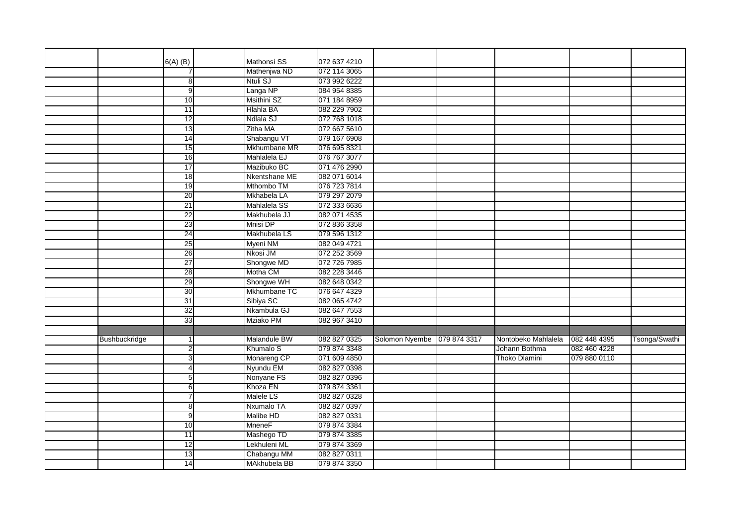|               | $6(A)$ (B)      | Mathonsi SS          | 072 637 4210 |                |              |                     |              |               |
|---------------|-----------------|----------------------|--------------|----------------|--------------|---------------------|--------------|---------------|
|               |                 | Mathenjwa ND         | 072 114 3065 |                |              |                     |              |               |
|               | 8               | Ntuli SJ             | 073 992 6222 |                |              |                     |              |               |
|               | 9               | Langa NP             | 084 954 8385 |                |              |                     |              |               |
|               | 10              | <b>Msithini SZ</b>   | 071 184 8959 |                |              |                     |              |               |
|               | 11              | <b>Hlahla BA</b>     | 082 229 7902 |                |              |                     |              |               |
|               | 12              | Ndlala SJ            | 072 768 1018 |                |              |                     |              |               |
|               | 13              | Zitha MA             | 072 667 5610 |                |              |                     |              |               |
|               | 14              | Shabangu VT          | 079 167 6908 |                |              |                     |              |               |
|               | 15              | Mkhumbane MR         | 076 695 8321 |                |              |                     |              |               |
|               | 16              | Mahlalela EJ         | 076 767 3077 |                |              |                     |              |               |
|               | 17              | Mazibuko BC          | 071 476 2990 |                |              |                     |              |               |
|               | 18              | Nkentshane ME        | 082 071 6014 |                |              |                     |              |               |
|               | 19              | Mthombo TM           | 076 723 7814 |                |              |                     |              |               |
|               | 20              | Mkhabela LA          | 079 297 2079 |                |              |                     |              |               |
|               | 21              | Mahlalela SS         | 072 333 6636 |                |              |                     |              |               |
|               | 22              | Makhubela JJ         | 082 071 4535 |                |              |                     |              |               |
|               | 23              | Mnisi DP             | 072 836 3358 |                |              |                     |              |               |
|               | 24              | Makhubela LS         | 079 596 1312 |                |              |                     |              |               |
|               | 25              | Myeni NM             | 082 049 4721 |                |              |                     |              |               |
|               | 26              | Nkosi JM             | 072 252 3569 |                |              |                     |              |               |
|               | $\overline{27}$ | Shongwe MD           | 072 726 7985 |                |              |                     |              |               |
|               | 28              | Motha CM             | 082 228 3446 |                |              |                     |              |               |
|               | 29              | Shongwe WH           | 082 648 0342 |                |              |                     |              |               |
|               | 30              | Mkhumbane TC         | 076 647 4329 |                |              |                     |              |               |
|               | 31              | Sibiya SC            | 082 065 4742 |                |              |                     |              |               |
|               | 32              | Nkambula GJ          | 082 647 7553 |                |              |                     |              |               |
|               | 33              | Mziako PM            | 082 967 3410 |                |              |                     |              |               |
|               |                 |                      |              |                |              |                     |              |               |
| Bushbuckridge |                 | <b>Malandule BW</b>  | 082 827 0325 | Solomon Nyembe | 079 874 3317 | Nontobeko Mahlalela | 082 448 4395 | Tsonga/Swathi |
|               | 2               | Khumalo <sub>S</sub> | 079 874 3348 |                |              | Johann Bothma       | 082 460 4228 |               |
|               | 3               | Monareng CP          | 071 609 4850 |                |              | Thoko Dlamini       | 079 880 0110 |               |
|               | 4               | Nyundu EM            | 082 827 0398 |                |              |                     |              |               |
|               | 5 <sub>l</sub>  | Nonyane FS           | 082 827 0396 |                |              |                     |              |               |
|               | 6               | Khoza EN             | 079 874 3361 |                |              |                     |              |               |
|               | 7               | <b>Malele LS</b>     | 082 827 0328 |                |              |                     |              |               |
|               | 8               | Nxumalo TA           | 082 827 0397 |                |              |                     |              |               |
|               | 9               | Malibe HD            | 082 827 0331 |                |              |                     |              |               |
|               | 10              | MneneF               | 079 874 3384 |                |              |                     |              |               |
|               | $\overline{11}$ | Mashego TD           | 079 874 3385 |                |              |                     |              |               |
|               | 12              | Lekhuleni ML         | 079 874 3369 |                |              |                     |              |               |
|               | 13              | Chabangu MM          | 082 827 0311 |                |              |                     |              |               |
|               | 14              | MAkhubela BB         | 079 874 3350 |                |              |                     |              |               |
|               |                 |                      |              |                |              |                     |              |               |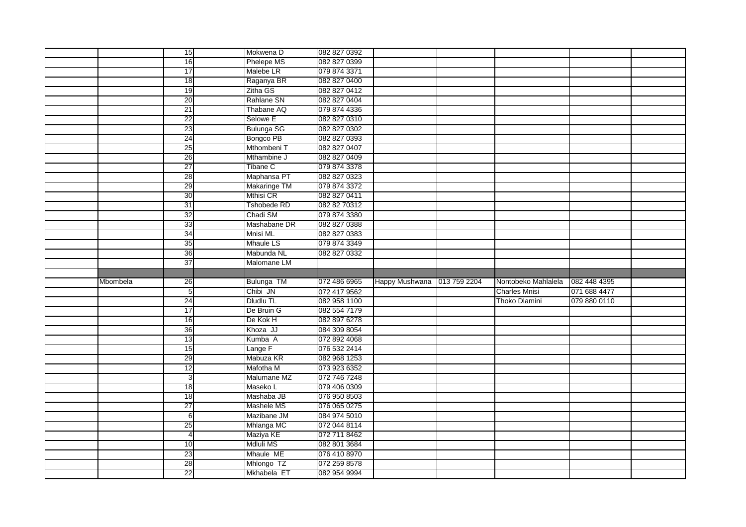|          | 15              | Mokwena D                 | 082 827 0392                 |                |              |                      |              |  |
|----------|-----------------|---------------------------|------------------------------|----------------|--------------|----------------------|--------------|--|
|          | 16              | <b>Phelepe MS</b>         | 082 827 0399                 |                |              |                      |              |  |
|          | 17              | Malebe LR                 | 079 874 3371                 |                |              |                      |              |  |
|          | 18              | Raganya BR                | 082 827 0400                 |                |              |                      |              |  |
|          | 19              | Zitha GS                  | 082 827 0412                 |                |              |                      |              |  |
|          | 20              | Rahlane SN                | 082 827 0404                 |                |              |                      |              |  |
|          | 21              | Thabane AQ                | 079 874 4336                 |                |              |                      |              |  |
|          | 22              | Selowe E                  | 082 827 0310                 |                |              |                      |              |  |
|          | 23              | <b>Bulunga SG</b>         | 082 827 0302                 |                |              |                      |              |  |
|          | 24              | Bongco PB                 | 082 827 0393                 |                |              |                      |              |  |
|          | 25              | Mthombeni T               | 082 827 0407                 |                |              |                      |              |  |
|          | 26              | Mthambine J               | 082 827 0409                 |                |              |                      |              |  |
|          | $\overline{27}$ | <b>Tibane C</b>           | 079 874 3378                 |                |              |                      |              |  |
|          | 28              | Maphansa PT               | 082 827 0323                 |                |              |                      |              |  |
|          | 29              | Makaringe TM              | 079 874 3372                 |                |              |                      |              |  |
|          | 30              | Mthisi CR                 | 082 827 0411                 |                |              |                      |              |  |
|          | 31              | <b>Tshobede RD</b>        | 082 82 70312                 |                |              |                      |              |  |
|          | 32              | Chadi SM                  | 079 874 3380                 |                |              |                      |              |  |
|          | 33              | Mashabane DR              | 082 827 0388                 |                |              |                      |              |  |
|          | 34              | Mnisi ML                  | 082 827 0383                 |                |              |                      |              |  |
|          | 35              | <b>Mhaule LS</b>          | 079 874 3349                 |                |              |                      |              |  |
|          | 36              | Mabunda NL                | 082 827 0332                 |                |              |                      |              |  |
|          |                 |                           |                              |                |              |                      |              |  |
|          |                 | Malomane LM               |                              |                |              |                      |              |  |
|          | $\overline{37}$ |                           |                              |                |              |                      |              |  |
| Mbombela | 26              |                           |                              | Happy Mushwana | 013 759 2204 | Nontobeko Mahlalela  | 082 448 4395 |  |
|          | $5\overline{)}$ | Bulunga TM<br>Chibi JN    | 072 486 6965<br>072 417 9562 |                |              | <b>Charles Mnisi</b> | 071 688 4477 |  |
|          | 24              | <b>Dludlu TL</b>          | 082 958 1100                 |                |              | Thoko Dlamini        | 079 880 0110 |  |
|          | 17              | De Bruin G                | 082 554 7179                 |                |              |                      |              |  |
|          | 16              | De Kok H                  | 082 897 6278                 |                |              |                      |              |  |
|          | 36              | Khoza JJ                  | 084 309 8054                 |                |              |                      |              |  |
|          | 13              | Kumba A                   | 072 892 4068                 |                |              |                      |              |  |
|          | 15              | Lange F                   | 076 532 2414                 |                |              |                      |              |  |
|          | 29              | Mabuza KR                 | 082 968 1253                 |                |              |                      |              |  |
|          | 12              | Mafotha M                 | 073 923 6352                 |                |              |                      |              |  |
|          | $\mathbf{3}$    | Malumane MZ               | 072 746 7248                 |                |              |                      |              |  |
|          | 18              | Maseko L                  | 079 406 0309                 |                |              |                      |              |  |
|          | 18              | Mashaba JB                | 076 950 8503                 |                |              |                      |              |  |
|          | $\overline{27}$ | Mashele MS                | 076 065 0275                 |                |              |                      |              |  |
|          | 6               | Mazibane JM               | 084 974 5010                 |                |              |                      |              |  |
|          | 25              | Mhlanga MC                | 072 044 8114                 |                |              |                      |              |  |
|          | $\overline{4}$  | Maziya KE                 | 072 711 8462                 |                |              |                      |              |  |
|          | 10              | Mdluli MS                 | 082 801 3684                 |                |              |                      |              |  |
|          | 23              | Mhaule ME                 | 076 410 8970                 |                |              |                      |              |  |
|          | 28<br>22        | Mhlongo TZ<br>Mkhabela ET | 072 259 8578<br>082 954 9994 |                |              |                      |              |  |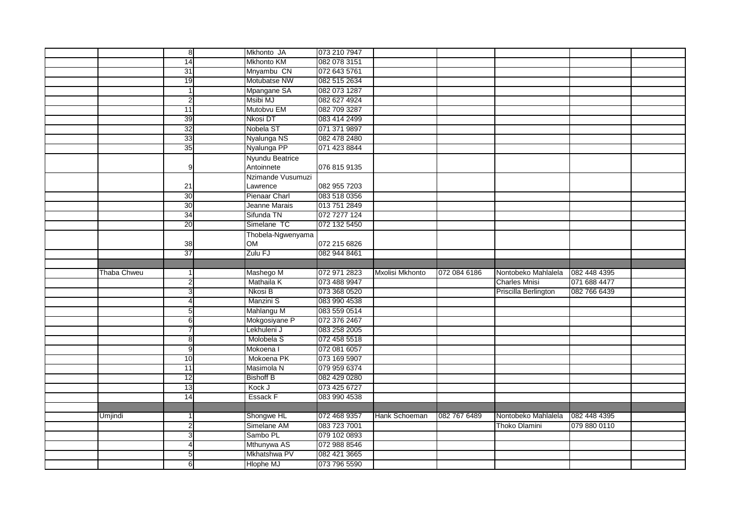|             | œ                    | Mkhonto JA                | 073 210 7947                 |                 |              |                      |              |  |
|-------------|----------------------|---------------------------|------------------------------|-----------------|--------------|----------------------|--------------|--|
|             | 14                   | <b>Mkhonto KM</b>         | 082 078 3151                 |                 |              |                      |              |  |
|             | 31                   | Mnyambu CN                | 072 643 5761                 |                 |              |                      |              |  |
|             | 19                   | Motubatse NW              | 082 515 2634                 |                 |              |                      |              |  |
|             |                      | Mpangane SA               | 082 073 1287                 |                 |              |                      |              |  |
|             | $\overline{2}$       | <b>Msibi MJ</b>           | 082 627 4924                 |                 |              |                      |              |  |
|             | 11                   | Mutobvu EM                | 082 709 3287                 |                 |              |                      |              |  |
|             | 39                   | <b>Nkosi DT</b>           | 083 414 2499                 |                 |              |                      |              |  |
|             | 32                   | Nobela ST                 | 071 371 9897                 |                 |              |                      |              |  |
|             | 33                   | Nyalunga NS               | 082 478 2480                 |                 |              |                      |              |  |
|             | 35                   | Nyalunga PP               | 071 423 8844                 |                 |              |                      |              |  |
|             |                      | Nyundu Beatrice           |                              |                 |              |                      |              |  |
|             | 9                    | Antoinnete                | 076 815 9135                 |                 |              |                      |              |  |
|             |                      | Nzimande Vusumuzi         |                              |                 |              |                      |              |  |
|             | 21                   | Lawrence                  | 082 955 7203                 |                 |              |                      |              |  |
|             | 30                   | Pienaar Charl             | 083 518 0356                 |                 |              |                      |              |  |
|             | 30                   | Jeanne Marais             | 013 751 2849                 |                 |              |                      |              |  |
|             | $\overline{34}$      | Sifunda TN                | 072 7277 124                 |                 |              |                      |              |  |
|             | 20                   | Simelane TC               | 072 132 5450                 |                 |              |                      |              |  |
|             |                      | Thobela-Ngwenyama         |                              |                 |              |                      |              |  |
|             | 38                   | <b>OM</b>                 | 072 215 6826                 |                 |              |                      |              |  |
|             | 37                   | Zulu FJ                   | 082 944 8461                 |                 |              |                      |              |  |
|             |                      |                           |                              |                 |              |                      |              |  |
|             |                      |                           |                              |                 |              |                      |              |  |
| Thaba Chweu |                      | Mashego M                 | 072 971 2823                 | Mxolisi Mkhonto | 072 084 6186 | Nontobeko Mahlalela  | 082 448 4395 |  |
|             | $\overline{2}$       | Mathaila K                | 073 488 9947                 |                 |              | <b>Charles Mnisi</b> | 071 688 4477 |  |
|             | 3                    | Nkosi B                   | 073 368 0520                 |                 |              | Priscilla Berlington | 082 766 6439 |  |
|             | $\overline{4}$       | Manzini S                 | 083 990 4538                 |                 |              |                      |              |  |
|             | $5\overline{)}$      | Mahlangu M                | 083 559 0514                 |                 |              |                      |              |  |
|             | 6                    | Mokgosiyane P             | 072 376 2467                 |                 |              |                      |              |  |
|             | 7                    | Lekhuleni J               | 083 258 2005                 |                 |              |                      |              |  |
|             | 8                    | Molobela S                | 072 458 5518                 |                 |              |                      |              |  |
|             | 9                    | Mokoena I                 | 072 081 6057                 |                 |              |                      |              |  |
|             | 10                   | Mokoena PK                | 073 169 5907                 |                 |              |                      |              |  |
|             | 11                   | Masimola N                | 079 959 6374                 |                 |              |                      |              |  |
|             | 12                   | <b>Bishoff B</b>          | 082 429 0280                 |                 |              |                      |              |  |
|             | 13                   | Kock J                    | 073 425 6727                 |                 |              |                      |              |  |
|             | 14                   | Essack F                  | 083 990 4538                 |                 |              |                      |              |  |
|             |                      |                           |                              |                 |              |                      |              |  |
| Umjindi     | 1                    | Shongwe HL                | 072 468 9357                 | Hank Schoeman   | 082 767 6489 | Nontobeko Mahlalela  | 082 448 4395 |  |
|             | $\overline{2}$       | Simelane AM               | 083 723 7001                 |                 |              | Thoko Dlamini        | 079 880 0110 |  |
|             | 3                    | Sambo PL                  | 079 102 0893                 |                 |              |                      |              |  |
|             | 4                    | Mthunywa AS               | 072 988 8546                 |                 |              |                      |              |  |
|             | $5\overline{)}$<br>6 | Mkhatshwa PV<br>Hlophe MJ | 082 421 3665<br>073 796 5590 |                 |              |                      |              |  |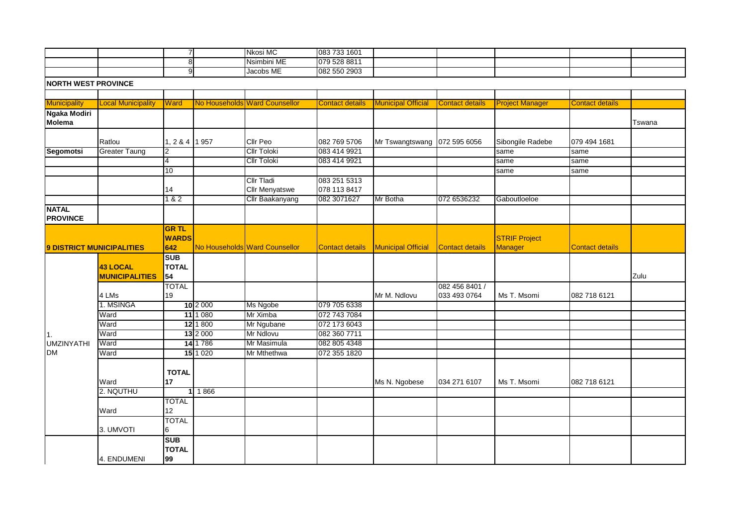|  |  | .<br><b>Nkosi</b><br>بالاله | 083 733 1601 |  |  |  |
|--|--|-----------------------------|--------------|--|--|--|
|  |  | <br><b>Nsimbini</b><br>⊩ME  | 079 528 8811 |  |  |  |
|  |  | Jacobs ME                   | 082 550 2903 |  |  |  |
|  |  |                             |              |  |  |  |

**NORTH WEST PROVINCE**

| <b>Municipality</b>                  | <b>Local Municipality</b>                | <b>Ward</b>                         |            | No Households Ward Counsellor              | <b>Contact details</b>       | <b>Municipal Official</b> | <b>Contact details</b>         | <b>Project Manager</b>          | <b>Contact details</b> |        |
|--------------------------------------|------------------------------------------|-------------------------------------|------------|--------------------------------------------|------------------------------|---------------------------|--------------------------------|---------------------------------|------------------------|--------|
| <b>Ngaka Modiri</b><br><b>Molema</b> |                                          |                                     |            |                                            |                              |                           |                                |                                 |                        | Tswana |
|                                      | Ratlou                                   | 1, 2 & 4 1 957                      |            | <b>Cllr Peo</b>                            | 082 769 5706                 | Mr Tswangtswang           | 072 595 6056                   | Sibongile Radebe                | 079 494 1681           |        |
| <b>Segomotsi</b>                     | <b>Greater Taung</b>                     | $\overline{2}$                      |            | <b>Cllr Toloki</b>                         | 083 414 9921                 |                           |                                | same                            | same                   |        |
|                                      |                                          | 4                                   |            | <b>Cllr Toloki</b>                         | 083 414 9921                 |                           |                                | same                            | same                   |        |
|                                      |                                          | 10                                  |            |                                            |                              |                           |                                | same                            | same                   |        |
|                                      |                                          | 14                                  |            | <b>Cllr Tladi</b><br><b>Cllr Menyatswe</b> | 083 251 5313<br>078 113 8417 |                           |                                |                                 |                        |        |
|                                      |                                          | 182                                 |            | Cllr Baakanyang                            | 082 3071627                  | Mr Botha                  | 072 6536232                    | Gaboutloeloe                    |                        |        |
| <b>NATAL</b><br><b>PROVINCE</b>      |                                          |                                     |            |                                            |                              |                           |                                |                                 |                        |        |
| <b>9 DISTRICT MUNICIPALITIES</b>     |                                          | <b>GR TL</b><br><b>WARDS</b><br>642 |            | No Households Ward Counsellor              | <b>Contact details</b>       | <b>Municipal Official</b> | <b>Contact details</b>         | <b>STRIF Project</b><br>Manager | <b>Contact details</b> |        |
|                                      | <b>43 LOCAL</b><br><b>MUNICIPALITIES</b> | <b>SUB</b><br><b>TOTAL</b><br>54    |            |                                            |                              |                           |                                |                                 |                        | Zulu   |
|                                      | 4 LMs                                    | <b>TOTAL</b><br>19                  |            |                                            |                              | Mr M. Ndlovu              | 082 456 8401 /<br>033 493 0764 | Ms T. Msomi                     | 082 718 6121           |        |
|                                      | 1. MSINGA                                |                                     | 10 2 000   | Ms Ngobe                                   | 079 705 6338                 |                           |                                |                                 |                        |        |
|                                      | Ward                                     |                                     | 11 1 0 8 0 | Mr Ximba                                   | 072 743 7084                 |                           |                                |                                 |                        |        |
|                                      | Ward                                     |                                     | 12 1 800   | Mr Ngubane                                 | 072 173 6043                 |                           |                                |                                 |                        |        |
| <b>1.</b>                            | Ward                                     |                                     | 13 2 000   | Mr Ndlovu                                  | 082 360 7711                 |                           |                                |                                 |                        |        |
| <b>UMZINYATHI</b>                    | Ward                                     |                                     | 14 1 786   | Mr Masimula                                | 082 805 4348                 |                           |                                |                                 |                        |        |
| <b>DM</b>                            | Ward                                     |                                     | 15 1 0 20  | Mr Mthethwa                                | 072 355 1820                 |                           |                                |                                 |                        |        |
|                                      | Ward                                     | <b>TOTAL</b><br>17                  |            |                                            |                              | Ms N. Ngobese             | 034 271 6107                   | Ms T. Msomi                     | 082 718 6121           |        |
|                                      | 2. NQUTHU                                |                                     | 1866       |                                            |                              |                           |                                |                                 |                        |        |
|                                      | Ward                                     | <b>TOTAL</b><br>12                  |            |                                            |                              |                           |                                |                                 |                        |        |
|                                      | 3. UMVOTI                                | <b>TOTAL</b><br>6                   |            |                                            |                              |                           |                                |                                 |                        |        |
|                                      | 4. ENDUMENI                              | <b>SUB</b><br><b>TOTAL</b><br>99    |            |                                            |                              |                           |                                |                                 |                        |        |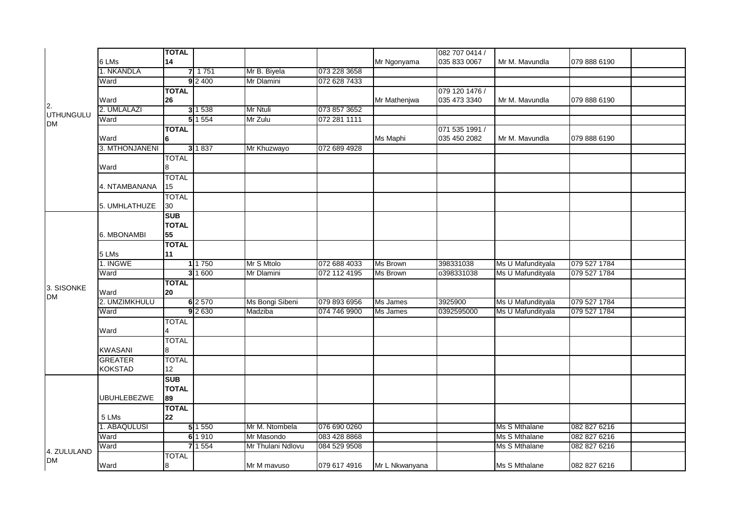|                               |                       | <b>TOTAL</b> |           |                   |              |                 | 082 707 0414 / |                   |              |
|-------------------------------|-----------------------|--------------|-----------|-------------------|--------------|-----------------|----------------|-------------------|--------------|
|                               | 6 LMs                 | 14           |           |                   |              | Mr Ngonyama     | 035 833 0067   | Mr M. Mavundla    | 079 888 6190 |
|                               | 1. NKANDLA            |              | 71751     | Mr B. Biyela      | 073 228 3658 |                 |                |                   |              |
|                               | Ward                  |              | 92400     | Mr Dlamini        | 072 628 7433 |                 |                |                   |              |
|                               |                       | <b>TOTAL</b> |           |                   |              |                 | 079 120 1476 / |                   |              |
|                               | Ward                  | 26           |           |                   |              | Mr Mathenjwa    | 035 473 3340   | Mr M. Mavundla    | 079 888 6190 |
| 2.                            | 2. UMLALAZI           |              | 3 1538    | Mr Ntuli          | 073 857 3652 |                 |                |                   |              |
| <b>UTHUNGULU</b><br><b>DM</b> | Ward                  |              | 51554     | Mr Zulu           | 072 281 1111 |                 |                |                   |              |
|                               |                       | <b>TOTAL</b> |           |                   |              |                 | 071 535 1991 / |                   |              |
|                               | Ward                  | 6            |           |                   |              | Ms Maphi        | 035 450 2082   | Mr M. Mavundla    | 079 888 6190 |
|                               | 3. MTHONJANENI        |              | 3 1837    | Mr Khuzwayo       | 072 689 4928 |                 |                |                   |              |
|                               |                       | <b>TOTAL</b> |           |                   |              |                 |                |                   |              |
|                               | Ward                  | 8            |           |                   |              |                 |                |                   |              |
|                               |                       | <b>TOTAL</b> |           |                   |              |                 |                |                   |              |
|                               | 4. NTAMBANANA         | 15           |           |                   |              |                 |                |                   |              |
|                               |                       | <b>TOTAL</b> |           |                   |              |                 |                |                   |              |
|                               | 5. UMHLATHUZE         | 30           |           |                   |              |                 |                |                   |              |
|                               |                       | <b>SUB</b>   |           |                   |              |                 |                |                   |              |
|                               |                       | <b>TOTAL</b> |           |                   |              |                 |                |                   |              |
|                               | 6. MBONAMBI           | 55           |           |                   |              |                 |                |                   |              |
|                               |                       | <b>TOTAL</b> |           |                   |              |                 |                |                   |              |
|                               | 5 LMs                 | 11           |           |                   |              |                 |                |                   |              |
|                               | 1. INGWE              |              | 1 1 7 5 0 | Mr S Mtolo        | 072 688 4033 | <b>Ms Brown</b> | 398331038      | Ms U Mafundityala | 079 527 1784 |
|                               | Ward                  |              | 3 1 600   | Mr Dlamini        | 072 112 4195 | Ms Brown        | 0398331038     | Ms U Mafundityala | 079 527 1784 |
| 3. SISONKE                    |                       | <b>TOTAL</b> |           |                   |              |                 |                |                   |              |
| <b>DM</b>                     | Ward                  | 20           |           |                   |              |                 |                |                   |              |
|                               | 2. UMZIMKHULU         |              | $6$ 2 570 | Ms Bongi Sibeni   | 079 893 6956 | Ms James        | 3925900        | Ms U Mafundityala | 079 527 1784 |
|                               | Ward                  |              | 92630     | Madziba           | 074 746 9900 | Ms James        | 0392595000     | Ms U Mafundityala | 079 527 1784 |
|                               |                       | TOTAL        |           |                   |              |                 |                |                   |              |
|                               | Ward                  |              |           |                   |              |                 |                |                   |              |
|                               |                       | <b>TOTAL</b> |           |                   |              |                 |                |                   |              |
|                               | <b>KWASANI</b>        | 8            |           |                   |              |                 |                |                   |              |
|                               | <b>GREATER</b>        | <b>TOTAL</b> |           |                   |              |                 |                |                   |              |
|                               | <b>KOKSTAD</b>        | 12           |           |                   |              |                 |                |                   |              |
|                               |                       | <b>SUB</b>   |           |                   |              |                 |                |                   |              |
|                               |                       | <b>TOTAL</b> |           |                   |              |                 |                |                   |              |
|                               | <b>UBUHLEBEZWE</b>    | 89           |           |                   |              |                 |                |                   |              |
|                               |                       | <b>TOTAL</b> |           |                   |              |                 |                |                   |              |
|                               | 5 LMs<br>1. ABAQULUSI | 22           | 5 1 5 5 0 | Mr M. Ntombela    | 076 690 0260 |                 |                | Ms S Mthalane     | 082 827 6216 |
|                               | Ward                  |              | 6 1 9 1 0 | Mr Masondo        | 083 428 8868 |                 |                | Ms S Mthalane     | 082 827 6216 |
|                               |                       |              | 7 1 5 5 4 | Mr Thulani Ndlovu | 084 529 9508 |                 |                | Ms S Mthalane     | 082 827 6216 |
| 4. ZULULAND                   | Ward                  |              |           |                   |              |                 |                |                   |              |
| <b>DM</b>                     |                       | <b>TOTAL</b> |           |                   |              |                 |                |                   |              |
|                               | Ward                  | 8            |           | Mr M mavuso       | 079 617 4916 | Mr L Nkwanyana  |                | Ms S Mthalane     | 082 827 6216 |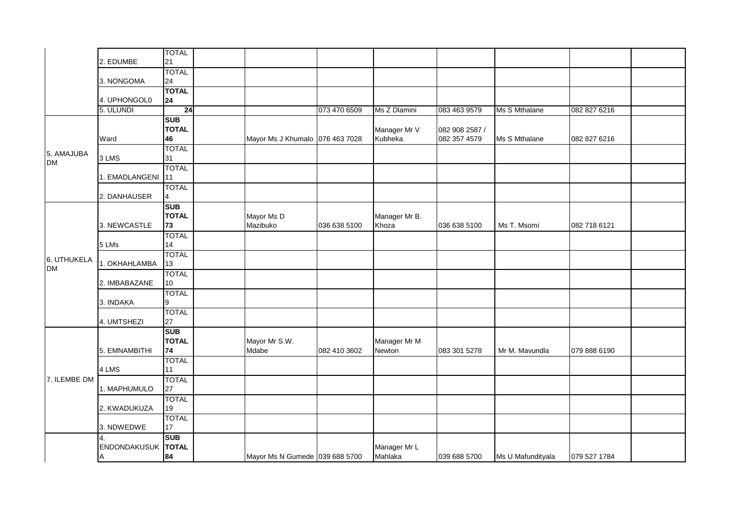|                          | 2. EDUMBE               | <b>TOTAL</b><br>21               |                                 |              |                         |                                |                   |              |  |
|--------------------------|-------------------------|----------------------------------|---------------------------------|--------------|-------------------------|--------------------------------|-------------------|--------------|--|
|                          | 3. NONGOMA              | <b>TOTAL</b><br>24               |                                 |              |                         |                                |                   |              |  |
|                          | 4. UPHONGOL0            | <b>TOTAL</b><br>24               |                                 |              |                         |                                |                   |              |  |
|                          | 5. ULUNDI               | 24                               |                                 | 073 470 6509 | Ms Z Dlamini            | 083 463 9579                   | Ms S Mthalane     | 082 827 6216 |  |
|                          | Ward                    | <b>SUB</b><br><b>TOTAL</b><br>46 | Mayor Ms J Khumalo 076 463 7028 |              | Manager Mr V<br>Kubheka | 082 908 2587 /<br>082 357 4579 | Ms S Mthalane     | 082 827 6216 |  |
| 5. AMAJUBA<br><b>DM</b>  | 3 LMS                   | <b>TOTAL</b><br>31               |                                 |              |                         |                                |                   |              |  |
|                          | 1. EMADLANGENI          | <b>TOTAL</b><br>11               |                                 |              |                         |                                |                   |              |  |
|                          | 2. DANHAUSER            | <b>TOTAL</b><br>$\overline{4}$   |                                 |              |                         |                                |                   |              |  |
|                          | 3. NEWCASTLE            | <b>SUB</b><br><b>TOTAL</b><br>73 | Mayor Ms D<br>Mazibuko          | 036 638 5100 | Manager Mr B.<br>Khoza  | 036 638 5100                   | Ms T. Msomi       | 082 718 6121 |  |
|                          | 5 LMs                   | <b>TOTAL</b><br>14               |                                 |              |                         |                                |                   |              |  |
| 6. UTHUKELA<br><b>DM</b> | 1. OKHAHLAMBA           | <b>TOTAL</b><br>13               |                                 |              |                         |                                |                   |              |  |
|                          | 2. IMBABAZANE           | <b>TOTAL</b><br>10               |                                 |              |                         |                                |                   |              |  |
|                          | 3. INDAKA               | <b>TOTAL</b><br>9                |                                 |              |                         |                                |                   |              |  |
|                          | 4. UMTSHEZI             | <b>TOTAL</b><br>27               |                                 |              |                         |                                |                   |              |  |
|                          | 5. EMNAMBITHI           | <b>SUB</b><br><b>TOTAL</b><br>74 | Mayor Mr S.W.<br>Mdabe          | 082 410 3602 | Manager Mr M<br>Newton  | 083 301 5278                   | Mr M. Mavundla    | 079 888 6190 |  |
|                          | 4 LMS                   | <b>TOTAL</b><br>11               |                                 |              |                         |                                |                   |              |  |
| 7. ILEMBE DM             | 1. MAPHUMULO            | <b>TOTAL</b><br>27               |                                 |              |                         |                                |                   |              |  |
|                          | 2. KWADUKUZA            | <b>TOTAL</b><br>19               |                                 |              |                         |                                |                   |              |  |
|                          | 3. NDWEDWE              | <b>TOTAL</b><br>17               |                                 |              |                         |                                |                   |              |  |
|                          | 4.<br>ENDONDAKUSUK<br>A | <b>SUB</b><br><b>TOTAL</b><br>84 | Mayor Ms N Gumede 039 688 5700  |              | Manager Mr L<br>Mahlaka | 039 688 5700                   | Ms U Mafundityala | 079 527 1784 |  |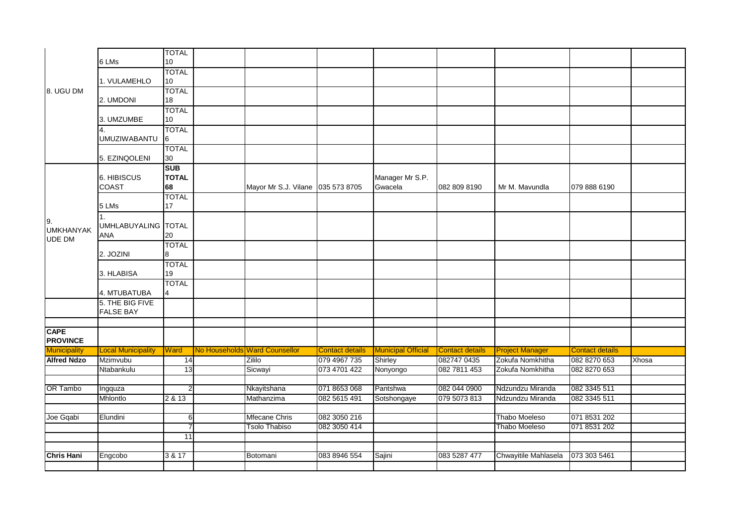|                                         | 6 LMs                                   | <b>TOTAL</b><br>10               |                                   |                        |                            |                        |                        |                        |       |
|-----------------------------------------|-----------------------------------------|----------------------------------|-----------------------------------|------------------------|----------------------------|------------------------|------------------------|------------------------|-------|
|                                         | 1. VULAMEHLO                            | <b>TOTAL</b><br>$10\,$           |                                   |                        |                            |                        |                        |                        |       |
| 8. UGU DM                               | 2. UMDONI                               | <b>TOTAL</b><br>18               |                                   |                        |                            |                        |                        |                        |       |
|                                         | 3. UMZUMBE                              | <b>TOTAL</b><br>10               |                                   |                        |                            |                        |                        |                        |       |
|                                         | <b>UMUZIWABANTU</b>                     | <b>TOTAL</b><br>6                |                                   |                        |                            |                        |                        |                        |       |
|                                         | 5. EZINQOLENI                           | <b>TOTAL</b><br>30               |                                   |                        |                            |                        |                        |                        |       |
|                                         | 6. HIBISCUS<br><b>COAST</b>             | <b>SUB</b><br><b>TOTAL</b><br>68 | Mayor Mr S.J. Vilane 035 573 8705 |                        | Manager Mr S.P.<br>Gwacela | 082 809 8190           | Mr M. Mavundla         | 079 888 6190           |       |
|                                         | 5 LMs                                   | <b>TOTAL</b><br>17               |                                   |                        |                            |                        |                        |                        |       |
| 9.<br><b>UMKHANYAK</b><br><b>UDE DM</b> | 1.<br>UMHLABUYALING TOTAL<br><b>ANA</b> | 20                               |                                   |                        |                            |                        |                        |                        |       |
|                                         | 2. JOZINI                               | <b>TOTAL</b><br>8                |                                   |                        |                            |                        |                        |                        |       |
|                                         | 3. HLABISA                              | <b>TOTAL</b><br>19               |                                   |                        |                            |                        |                        |                        |       |
|                                         | 4. MTUBATUBA                            | <b>TOTAL</b><br>$\overline{4}$   |                                   |                        |                            |                        |                        |                        |       |
|                                         | 5. THE BIG FIVE<br><b>FALSE BAY</b>     |                                  |                                   |                        |                            |                        |                        |                        |       |
| <b>CAPE</b><br><b>PROVINCE</b>          |                                         |                                  |                                   |                        |                            |                        |                        |                        |       |
| <b>Municipality</b>                     | <b>Local Municipality</b>               | <b>Ward</b>                      | No Households Ward Counsellor     | <b>Contact details</b> | <b>Municipal Official</b>  | <b>Contact details</b> | <b>Project Manager</b> | <b>Contact details</b> |       |
| <b>Alfred Ndzo</b>                      | Mzimvubu                                | 14                               | Zililo                            | 079 4967 735           | Shirley                    | 082747 0435            | Zokufa Nomkhitha       | 082 8270 653           | Xhosa |
|                                         | Ntabankulu                              | 13                               | Sicwayi                           | 073 4701 422           | Nonyongo                   | 082 7811 453           | Zokufa Nomkhitha       | 082 8270 653           |       |
| OR Tambo                                | Ingquza                                 | $\overline{2}$                   | Nkayitshana                       | 071 8653 068           | Pantshwa                   | 082 044 0900           | Ndzundzu Miranda       | 082 3345 511           |       |
|                                         | Mhlontlo                                | 2 & 13                           | Mathanzima                        | 082 5615 491           | Sotshongaye                | 079 5073 813           | Ndzundzu Miranda       | 082 3345 511           |       |
| Joe Gqabi                               | Elundini                                | 6                                | Mfecane Chris                     | 082 3050 216           |                            |                        | <b>Thabo Moeleso</b>   | 071 8531 202           |       |
|                                         |                                         | $\overline{7}$                   | <b>Tsolo Thabiso</b>              | 082 3050 414           |                            |                        | <b>Thabo Moeleso</b>   | 071 8531 202           |       |
|                                         |                                         | 11                               |                                   |                        |                            |                        |                        |                        |       |
|                                         |                                         |                                  |                                   |                        |                            |                        |                        |                        |       |
| <b>Chris Hani</b>                       | Engcobo                                 | 3 & 17                           | Botomani                          | 083 8946 554           | Sajini                     | 083 5287 477           | Chwayitile Mahlasela   | 073 303 5461           |       |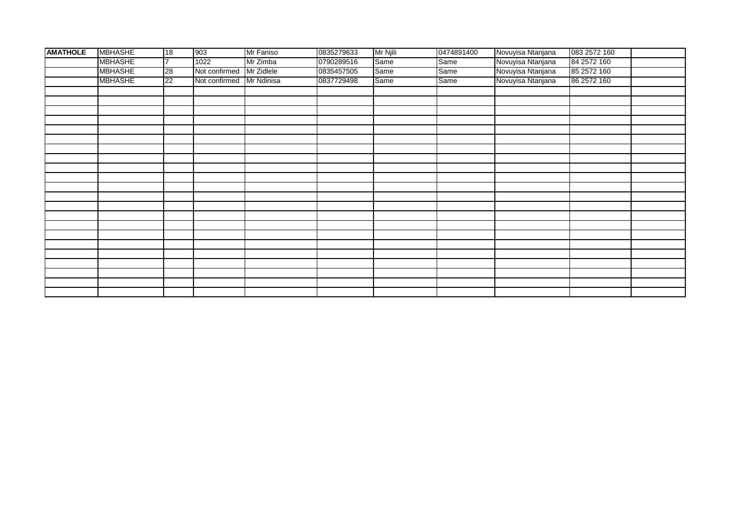| <b>AMATHOLE</b> | <b>MBHASHE</b> | 18              | 903                      | Mr Faniso | 0835279633 | Mr Njili | 0474891400 | Novuyisa Ntanjana | 083 2572 160 |  |
|-----------------|----------------|-----------------|--------------------------|-----------|------------|----------|------------|-------------------|--------------|--|
|                 | <b>MBHASHE</b> | 17              | 1022                     | Mr Zimba  | 0790289516 | Same     | Same       | Novuyisa Ntanjana | 84 2572 160  |  |
|                 | <b>MBHASHE</b> | 28              | Not confirmed Mr Zidlele |           | 0835457505 | Same     | Same       | Novuyisa Ntanjana | 85 2572 160  |  |
|                 | <b>MBHASHE</b> | $\overline{22}$ | Not confirmed Mr Ndinisa |           | 0837729498 | Same     | Same       | Novuyisa Ntanjana | 86 2572 160  |  |
|                 |                |                 |                          |           |            |          |            |                   |              |  |
|                 |                |                 |                          |           |            |          |            |                   |              |  |
|                 |                |                 |                          |           |            |          |            |                   |              |  |
|                 |                |                 |                          |           |            |          |            |                   |              |  |
|                 |                |                 |                          |           |            |          |            |                   |              |  |
|                 |                |                 |                          |           |            |          |            |                   |              |  |
|                 |                |                 |                          |           |            |          |            |                   |              |  |
|                 |                |                 |                          |           |            |          |            |                   |              |  |
|                 |                |                 |                          |           |            |          |            |                   |              |  |
|                 |                |                 |                          |           |            |          |            |                   |              |  |
|                 |                |                 |                          |           |            |          |            |                   |              |  |
|                 |                |                 |                          |           |            |          |            |                   |              |  |
|                 |                |                 |                          |           |            |          |            |                   |              |  |
|                 |                |                 |                          |           |            |          |            |                   |              |  |
|                 |                |                 |                          |           |            |          |            |                   |              |  |
|                 |                |                 |                          |           |            |          |            |                   |              |  |
|                 |                |                 |                          |           |            |          |            |                   |              |  |
|                 |                |                 |                          |           |            |          |            |                   |              |  |
|                 |                |                 |                          |           |            |          |            |                   |              |  |
|                 |                |                 |                          |           |            |          |            |                   |              |  |
|                 |                |                 |                          |           |            |          |            |                   |              |  |
|                 |                |                 |                          |           |            |          |            |                   |              |  |